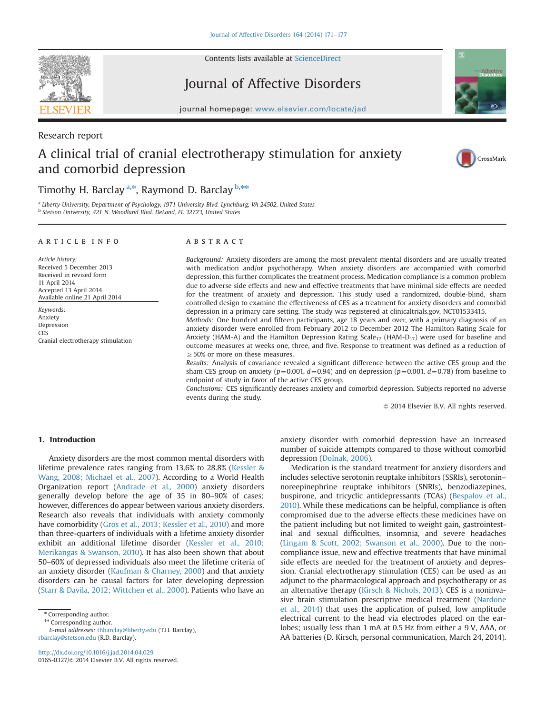

Contents lists available at [ScienceDirect](www.sciencedirect.com/science/journal/01650327)

# Journal of Affective Disorders





# Research report

# A clinical trial of cranial electrotherapy stimulation for anxiety and comorbid depression



# Timothy H. Barclay <sup>a,\*</sup>, Raymond D. Barclay <sup>b,\*\*</sup>

<sup>a</sup> Liberty University, Department of Psychology, 1971 University Blvd. Lynchburg, VA 24502, United States b Stetson University, 421 N. Woodland Blvd. DeLand, FL 32723, United States

### article info

Article history: Received 5 December 2013 Received in revised form 11 April 2014 Accepted 13 April 2014 Available online 21 April 2014

Keywords: Anxiety Depression **CES** Cranial electrotherapy stimulation

# **ABSTRACT**

Background: Anxiety disorders are among the most prevalent mental disorders and are usually treated with medication and/or psychotherapy. When anxiety disorders are accompanied with comorbid depression, this further complicates the treatment process. Medication compliance is a common problem due to adverse side effects and new and effective treatments that have minimal side effects are needed for the treatment of anxiety and depression. This study used a randomized, double-blind, sham controlled design to examine the effectiveness of CES as a treatment for anxiety disorders and comorbid depression in a primary care setting. The study was registered at clinicaltrials.gov, NCT01533415.

Methods: One hundred and fifteen participants, age 18 years and over, with a primary diagnosis of an anxiety disorder were enrolled from February 2012 to December 2012 The Hamilton Rating Scale for Anxiety (HAM-A) and the Hamilton Depression Rating Scale<sub>17</sub> (HAM-D<sub>17</sub>) were used for baseline and outcome measures at weeks one, three, and five. Response to treatment was defined as a reduction of  $>$  50% or more on these measures.

Results: Analysis of covariance revealed a significant difference between the active CES group and the sham CES group on anxiety ( $p=0.001$ ,  $d=0.94$ ) and on depression ( $p=0.001$ ,  $d=0.78$ ) from baseline to endpoint of study in favor of the active CES group.

Conclusions: CES significantly decreases anxiety and comorbid depression. Subjects reported no adverse events during the study.

 $\odot$  2014 Elsevier B.V. All rights reserved.

# 1. Introduction

Anxiety disorders are the most common mental disorders with lifetime prevalence rates ranging from 13.6% to 28.8% ([Kessler &](#page-6-0) [Wang, 2008; Michael et al., 2007\)](#page-6-0). According to a World Health Organization report [\(Andrade et al., 2000\)](#page-6-0) anxiety disorders generally develop before the age of 35 in 80–90% of cases; however, differences do appear between various anxiety disorders. Research also reveals that individuals with anxiety commonly have comorbidity ([Gros et al., 2013; Kessler et al., 2010](#page-6-0)) and more than three-quarters of individuals with a lifetime anxiety disorder exhibit an additional lifetime disorder ([Kessler et al., 2010;](#page-6-0) [Merikangas](#page-6-0) [& Swanson, 2010\)](#page-6-0). It has also been shown that about 50–60% of depressed individuals also meet the lifetime criteria of an anxiety disorder [\(Kaufman](#page-6-0) & [Charney, 2000](#page-6-0)) and that anxiety disorders can be causal factors for later developing depression ([Starr](#page-6-0) & [Davila, 2012; Wittchen et al., 2000](#page-6-0)). Patients who have an

\*\* Corresponding author.

E-mail addresses: [thbarclay@liberty.edu](mailto:thbarclay@liberty.edu) (T.H. Barclay), [rbarclay@stetson.edu](mailto:rbarclay@stetson.edu) (R.D. Barclay).

anxiety disorder with comorbid depression have an increased number of suicide attempts compared to those without comorbid depression [\(Dolnak, 2006](#page-6-0)).

Medication is the standard treatment for anxiety disorders and includes selective serotonin reuptake inhibitors (SSRIs), serotonin– noreepinephrine reuptake inhibitors (SNRIs), benzodiazepines, buspirone, and tricyclic antidepressants (TCAs) [\(Bespalov et al.,](#page-6-0) [2010\)](#page-6-0). While these medications can be helpful, compliance is often compromised due to the adverse effects these medicines have on the patient including but not limited to weight gain, gastrointestinal and sexual difficulties, insomnia, and severe headaches ([Lingam](#page-6-0) & [Scott, 2002; Swanson et al., 2000](#page-6-0)). Due to the noncompliance issue, new and effective treatments that have minimal side effects are needed for the treatment of anxiety and depression. Cranial electrotherapy stimulation (CES) can be used as an adjunct to the pharmacological approach and psychotherapy or as an alternative therapy [\(Kirsch & Nichols, 2013](#page-6-0)). CES is a noninvasive brain stimulation prescriptive medical treatment [\(Nardone](#page-6-0) [et al., 2014](#page-6-0)) that uses the application of pulsed, low amplitude electrical current to the head via electrodes placed on the earlobes; usually less than 1 mA at 0.5 Hz from either a 9 V, AAA, or AA batteries (D. Kirsch, personal communication, March 24, 2014).

<sup>\*</sup> Corresponding author.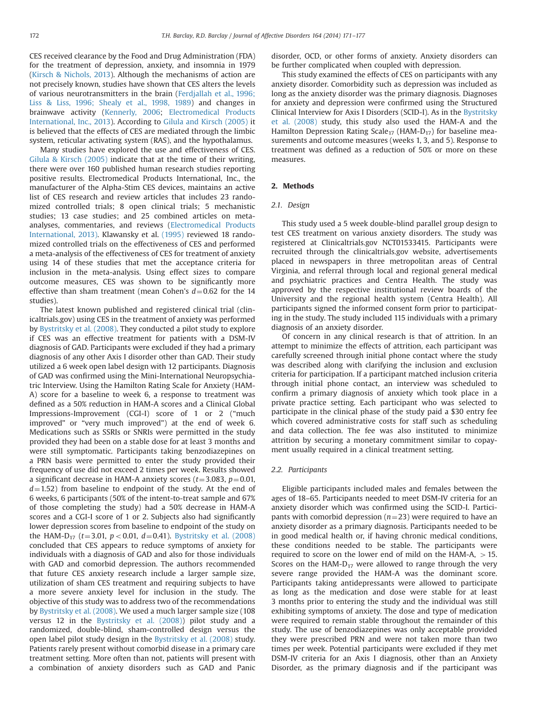CES received clearance by the Food and Drug Administration (FDA) for the treatment of depression, anxiety, and insomnia in 1979 ([Kirsch & Nichols, 2013\)](#page-6-0). Although the mechanisms of action are not precisely known, studies have shown that CES alters the levels of various neurotransmitters in the brain [\(Ferdjallah et al., 1996;](#page-6-0) [Liss & Liss, 1996; Shealy et al., 1998, 1989](#page-6-0)) and changes in brainwave activity [\(Kennerly, 2006](#page-6-0); [Electromedical Products](#page-6-0) [International, Inc., 2013\)](#page-6-0). According to [Gilula and Kirsch \(2005\)](#page-6-0) it is believed that the effects of CES are mediated through the limbic system, reticular activating system (RAS), and the hypothalamus.

Many studies have explored the use and effectiveness of CES. [Gilula](#page-6-0) & [Kirsch \(2005\)](#page-6-0) indicate that at the time of their writing, there were over 160 published human research studies reporting positive results. Electromedical Products International, Inc., the manufacturer of the Alpha-Stim CES devices, maintains an active list of CES research and review articles that includes 23 randomized controlled trials; 8 open clinical trials; 5 mechanistic studies; 13 case studies; and 25 combined articles on metaanalyses, commentaries, and reviews ([Electromedical Products](#page-6-0) [International, 2013\)](#page-6-0). Klawansky et al. [\(1995\)](#page-6-0) reviewed 18 randomized controlled trials on the effectiveness of CES and performed a meta-analysis of the effectiveness of CES for treatment of anxiety using 14 of these studies that met the acceptance criteria for inclusion in the meta-analysis. Using effect sizes to compare outcome measures, CES was shown to be significantly more effective than sham treatment (mean Cohen's  $d=0.62$  for the 14 studies).

The latest known published and registered clinical trial (clinicaltrials.gov) using CES in the treatment of anxiety was performed by [Bystritsky et al. \(2008\).](#page-6-0) They conducted a pilot study to explore if CES was an effective treatment for patients with a DSM-IV diagnosis of GAD. Participants were excluded if they had a primary diagnosis of any other Axis I disorder other than GAD. Their study utilized a 6 week open label design with 12 participants. Diagnosis of GAD was confirmed using the Mini-International Neuropsychiatric Interview. Using the Hamilton Rating Scale for Anxiety (HAM-A) score for a baseline to week 6, a response to treatment was defined as a 50% reduction in HAM-A scores and a Clinical Global Impressions-Improvement (CGI-I) score of 1 or 2 ("much improved" or "very much improved") at the end of week 6. Medications such as SSRIs or SNRIs were permitted in the study provided they had been on a stable dose for at least 3 months and were still symptomatic. Participants taking benzodiazepines on a PRN basis were permitted to enter the study provided their frequency of use did not exceed 2 times per week. Results showed a significant decrease in HAM-A anxiety scores ( $t=3.083$ ,  $p=0.01$ ,  $d=1.52$ ) from baseline to endpoint of the study. At the end of 6 weeks, 6 participants (50% of the intent-to-treat sample and 67% of those completing the study) had a 50% decrease in HAM-A scores and a CGI-I score of 1 or 2. Subjects also had significantly lower depression scores from baseline to endpoint of the study on the HAM-D<sub>17</sub> ( $t=3.01$ ,  $p<0.01$ ,  $d=0.41$ ). [Bystritsky et al. \(2008\)](#page-6-0) concluded that CES appears to reduce symptoms of anxiety for individuals with a diagnosis of GAD and also for those individuals with GAD and comorbid depression. The authors recommended that future CES anxiety research include a larger sample size, utilization of sham CES treatment and requiring subjects to have a more severe anxiety level for inclusion in the study. The objective of this study was to address two of the recommendations by [Bystritsky et al. \(2008\).](#page-6-0) We used a much larger sample size (108 versus 12 in the [Bystritsky et al. \(2008\)](#page-6-0)) pilot study and a randomized, double-blind, sham-controlled design versus the open label pilot study design in the [Bystritsky et al. \(2008\)](#page-6-0) study. Patients rarely present without comorbid disease in a primary care treatment setting. More often than not, patients will present with a combination of anxiety disorders such as GAD and Panic disorder, OCD, or other forms of anxiety. Anxiety disorders can be further complicated when coupled with depression.

This study examined the effects of CES on participants with any anxiety disorder. Comorbidity such as depression was included as long as the anxiety disorder was the primary diagnosis. Diagnoses for anxiety and depression were confirmed using the Structured Clinical Interview for Axis I Disorders (SCID-I). As in the [Bystritsky](#page-6-0) [et al. \(2008\)](#page-6-0) study, this study also used the HAM-A and the Hamilton Depression Rating Scale<sub>17</sub> (HAM-D<sub>17</sub>) for baseline measurements and outcome measures (weeks 1, 3, and 5). Response to treatment was defined as a reduction of 50% or more on these measures.

# 2. Methods

#### 2.1. Design

This study used a 5 week double-blind parallel group design to test CES treatment on various anxiety disorders. The study was registered at Clinicaltrials.gov NCT01533415. Participants were recruited through the clinicaltrials.gov website, advertisements placed in newspapers in three metropolitan areas of Central Virginia, and referral through local and regional general medical and psychiatric practices and Centra Health. The study was approved by the respective institutional review boards of the University and the regional health system (Centra Health). All participants signed the informed consent form prior to participating in the study. The study included 115 individuals with a primary diagnosis of an anxiety disorder.

Of concern in any clinical research is that of attrition. In an attempt to minimize the effects of attrition, each participant was carefully screened through initial phone contact where the study was described along with clarifying the inclusion and exclusion criteria for participation. If a participant matched inclusion criteria through initial phone contact, an interview was scheduled to confirm a primary diagnosis of anxiety which took place in a private practice setting. Each participant who was selected to participate in the clinical phase of the study paid a \$30 entry fee which covered administrative costs for staff such as scheduling and data collection. The fee was also instituted to minimize attrition by securing a monetary commitment similar to copayment usually required in a clinical treatment setting.

### 2.2. Participants

Eligible participants included males and females between the ages of 18–65. Participants needed to meet DSM-IV criteria for an anxiety disorder which was confirmed using the SCID-I. Participants with comorbid depression ( $n=23$ ) were required to have an anxiety disorder as a primary diagnosis. Participants needed to be in good medical health or, if having chronic medical conditions, these conditions needed to be stable. The participants were required to score on the lower end of mild on the HAM-A,  $> 15$ . Scores on the HAM- $D_{17}$  were allowed to range through the very severe range provided the HAM-A was the dominant score. Participants taking antidepressants were allowed to participate as long as the medication and dose were stable for at least 3 months prior to entering the study and the individual was still exhibiting symptoms of anxiety. The dose and type of medication were required to remain stable throughout the remainder of this study. The use of benzodiazepines was only acceptable provided they were prescribed PRN and were not taken more than two times per week. Potential participants were excluded if they met DSM-IV criteria for an Axis I diagnosis, other than an Anxiety Disorder, as the primary diagnosis and if the participant was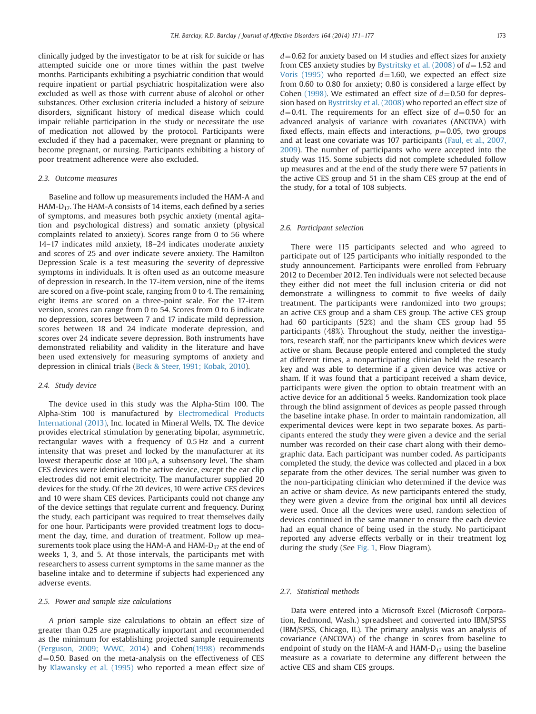clinically judged by the investigator to be at risk for suicide or has attempted suicide one or more times within the past twelve months. Participants exhibiting a psychiatric condition that would require inpatient or partial psychiatric hospitalization were also excluded as well as those with current abuse of alcohol or other substances. Other exclusion criteria included a history of seizure disorders, significant history of medical disease which could impair reliable participation in the study or necessitate the use of medication not allowed by the protocol. Participants were excluded if they had a pacemaker, were pregnant or planning to become pregnant, or nursing. Participants exhibiting a history of poor treatment adherence were also excluded.

#### 2.3. Outcome measures

Baseline and follow up measurements included the HAM-A and HAM-D<sub>17</sub>. The HAM-A consists of 14 items, each defined by a series of symptoms, and measures both psychic anxiety (mental agitation and psychological distress) and somatic anxiety (physical complaints related to anxiety). Scores range from 0 to 56 where 14–17 indicates mild anxiety, 18–24 indicates moderate anxiety and scores of 25 and over indicate severe anxiety. The Hamilton Depression Scale is a test measuring the severity of depressive symptoms in individuals. It is often used as an outcome measure of depression in research. In the 17-item version, nine of the items are scored on a five-point scale, ranging from 0 to 4. The remaining eight items are scored on a three-point scale. For the 17-item version, scores can range from 0 to 54. Scores from 0 to 6 indicate no depression, scores between 7 and 17 indicate mild depression, scores between 18 and 24 indicate moderate depression, and scores over 24 indicate severe depression. Both instruments have demonstrated reliability and validity in the literature and have been used extensively for measuring symptoms of anxiety and depression in clinical trials ([Beck](#page-6-0) [& Steer, 1991; Kobak, 2010\)](#page-6-0).

### 2.4. Study device

The device used in this study was the Alpha-Stim 100. The Alpha-Stim 100 is manufactured by [Electromedical Products](#page-6-0) [International \(2013\),](#page-6-0) Inc. located in Mineral Wells, TX. The device provides electrical stimulation by generating bipolar, asymmetric, rectangular waves with a frequency of 0.5 Hz and a current intensity that was preset and locked by the manufacturer at its lowest therapeutic dose at 100  $\mu$ A, a subsensory level. The sham CES devices were identical to the active device, except the ear clip electrodes did not emit electricity. The manufacturer supplied 20 devices for the study. Of the 20 devices, 10 were active CES devices and 10 were sham CES devices. Participants could not change any of the device settings that regulate current and frequency. During the study, each participant was required to treat themselves daily for one hour. Participants were provided treatment logs to document the day, time, and duration of treatment. Follow up measurements took place using the HAM-A and HAM- $D_{17}$  at the end of weeks 1, 3, and 5. At those intervals, the participants met with researchers to assess current symptoms in the same manner as the baseline intake and to determine if subjects had experienced any adverse events.

#### 2.5. Power and sample size calculations

A priori sample size calculations to obtain an effect size of greater than 0.25 are pragmatically important and recommended as the minimum for establishing projected sample requirements ([Ferguson, 2009; WWC, 2014](#page-6-0)) and Cohe[n\(1998\)](#page-6-0) recommends  $d=0.50$ . Based on the meta-analysis on the effectiveness of CES by [Klawansky et al. \(1995\)](#page-6-0) who reported a mean effect size of  $d=0.62$  for anxiety based on 14 studies and effect sizes for anxiety from CES anxiety studies by [Bystritsky et al. \(2008\)](#page-6-0) of  $d=1.52$  and [Voris \(1995\)](#page-6-0) who reported  $d=1.60$ , we expected an effect size from 0.60 to 0.80 for anxiety; 0.80 is considered a large effect by Cohen [\(1998\)](#page-6-0). We estimated an effect size of  $d=0.50$  for depression based on [Bystritsky et al. \(2008\)](#page-6-0) who reported an effect size of  $d=0.41$ . The requirements for an effect size of  $d=0.50$  for an advanced analysis of variance with covariates (ANCOVA) with fixed effects, main effects and interactions,  $p=0.05$ , two groups and at least one covariate was 107 participants ([Faul, et al., 2007,](#page-6-0) [2009\)](#page-6-0). The number of participants who were accepted into the study was 115. Some subjects did not complete scheduled follow up measures and at the end of the study there were 57 patients in the active CES group and 51 in the sham CES group at the end of the study, for a total of 108 subjects.

#### 2.6. Participant selection

There were 115 participants selected and who agreed to participate out of 125 participants who initially responded to the study announcement. Participants were enrolled from February 2012 to December 2012. Ten individuals were not selected because they either did not meet the full inclusion criteria or did not demonstrate a willingness to commit to five weeks of daily treatment. The participants were randomized into two groups; an active CES group and a sham CES group. The active CES group had 60 participants (52%) and the sham CES group had 55 participants (48%). Throughout the study, neither the investigators, research staff, nor the participants knew which devices were active or sham. Because people entered and completed the study at different times, a nonparticipating clinician held the research key and was able to determine if a given device was active or sham. If it was found that a participant received a sham device, participants were given the option to obtain treatment with an active device for an additional 5 weeks. Randomization took place through the blind assignment of devices as people passed through the baseline intake phase. In order to maintain randomization, all experimental devices were kept in two separate boxes. As participants entered the study they were given a device and the serial number was recorded on their case chart along with their demographic data. Each participant was number coded. As participants completed the study, the device was collected and placed in a box separate from the other devices. The serial number was given to the non-participating clinician who determined if the device was an active or sham device. As new participants entered the study, they were given a device from the original box until all devices were used. Once all the devices were used, random selection of devices continued in the same manner to ensure the each device had an equal chance of being used in the study. No participant reported any adverse effects verbally or in their treatment log during the study (See [Fig. 1,](#page-3-0) Flow Diagram).

### 2.7. Statistical methods

Data were entered into a Microsoft Excel (Microsoft Corporation, Redmond, Wash.) spreadsheet and converted into IBM/SPSS (IBM/SPSS, Chicago, IL). The primary analysis was an analysis of covariance (ANCOVA) of the change in scores from baseline to endpoint of study on the HAM-A and HAM- $D_{17}$  using the baseline measure as a covariate to determine any different between the active CES and sham CES groups.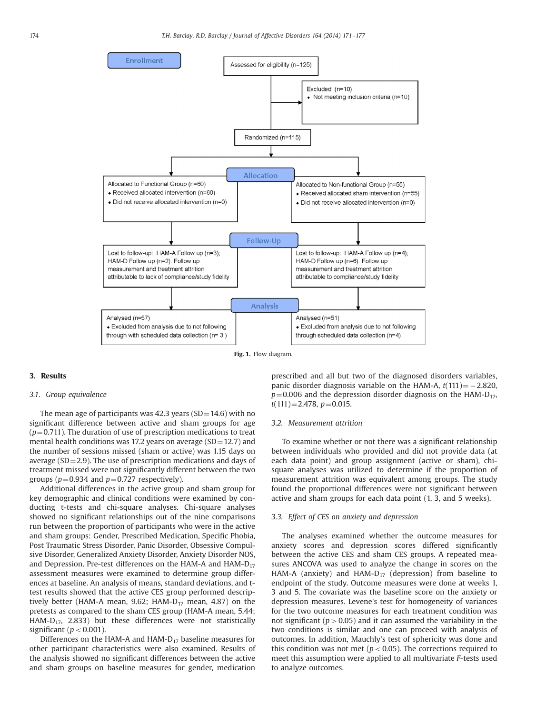<span id="page-3-0"></span>

Fig. 1. Flow diagram.

### 3. Results

#### 3.1. Group equivalence

The mean age of participants was 42.3 years (SD $=$ 14.6) with no significant difference between active and sham groups for age  $(p=0.711)$ . The duration of use of prescription medications to treat mental health conditions was 17.2 years on average ( $SD = 12.7$ ) and the number of sessions missed (sham or active) was 1.15 days on average ( $SD = 2.9$ ). The use of prescription medications and days of treatment missed were not significantly different between the two groups ( $p=0.934$  and  $p=0.727$  respectively).

Additional differences in the active group and sham group for key demographic and clinical conditions were examined by conducting t-tests and chi-square analyses. Chi-square analyses showed no significant relationships out of the nine comparisons run between the proportion of participants who were in the active and sham groups: Gender, Prescribed Medication, Specific Phobia, Post Traumatic Stress Disorder, Panic Disorder, Obsessive Compulsive Disorder, Generalized Anxiety Disorder, Anxiety Disorder NOS, and Depression. Pre-test differences on the HAM-A and HAM- $D_{17}$ assessment measures were examined to determine group differences at baseline. An analysis of means, standard deviations, and ttest results showed that the active CES group performed descriptively better (HAM-A mean, 9.62; HAM- $D_{17}$  mean, 4.87) on the pretests as compared to the sham CES group (HAM-A mean, 5.44; HAM-D<sub>17</sub>, 2.833) but these differences were not statistically significant ( $p < 0.001$ ).

Differences on the HAM-A and HAM- $D_{17}$  baseline measures for other participant characteristics were also examined. Results of the analysis showed no significant differences between the active and sham groups on baseline measures for gender, medication prescribed and all but two of the diagnosed disorders variables, panic disorder diagnosis variable on the HAM-A,  $t(111) = -2.820$ ,  $p=0.006$  and the depression disorder diagnosis on the HAM-D<sub>17</sub>,  $t(111)=2.478$ ,  $p=0.015$ .

#### 3.2. Measurement attrition

To examine whether or not there was a significant relationship between individuals who provided and did not provide data (at each data point) and group assignment (active or sham), chisquare analyses was utilized to determine if the proportion of measurement attrition was equivalent among groups. The study found the proportional differences were not significant between active and sham groups for each data point (1, 3, and 5 weeks).

#### 3.3. Effect of CES on anxiety and depression

The analyses examined whether the outcome measures for anxiety scores and depression scores differed significantly between the active CES and sham CES groups. A repeated measures ANCOVA was used to analyze the change in scores on the HAM-A (anxiety) and HAM- $D_{17}$  (depression) from baseline to endpoint of the study. Outcome measures were done at weeks 1, 3 and 5. The covariate was the baseline score on the anxiety or depression measures. Levene's test for homogeneity of variances for the two outcome measures for each treatment condition was not significant ( $p > 0.05$ ) and it can assumed the variability in the two conditions is similar and one can proceed with analysis of outcomes. In addition, Mauchly's test of sphericity was done and this condition was not met ( $p < 0.05$ ). The corrections required to meet this assumption were applied to all multivariate F-tests used to analyze outcomes.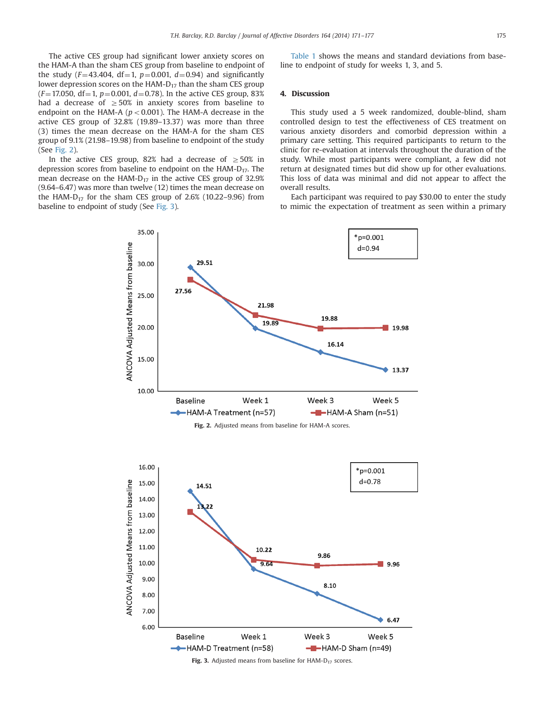The active CES group had significant lower anxiety scores on the HAM-A than the sham CES group from baseline to endpoint of the study ( $F=43.404$ , df=1,  $p=0.001$ ,  $d=0.94$ ) and significantly lower depression scores on the HAM- $D_{17}$  than the sham CES group  $(F=17.050, df=1, p=0.001, d=0.78)$ . In the active CES group, 83% had a decrease of  $\geq 50\%$  in anxiety scores from baseline to endpoint on the HAM-A ( $p < 0.001$ ). The HAM-A decrease in the active CES group of 32.8% (19.89–13.37) was more than three (3) times the mean decrease on the HAM-A for the sham CES group of 9.1% (21.98–19.98) from baseline to endpoint of the study (See Fig. 2).

In the active CES group, 82% had a decrease of  $>50\%$  in depression scores from baseline to endpoint on the HAM- $D_{17}$ . The mean decrease on the HAM- $D_{17}$  in the active CES group of 32.9% (9.64–6.47) was more than twelve (12) times the mean decrease on the HAM- $D_{17}$  for the sham CES group of 2.6% (10.22–9.96) from baseline to endpoint of study (See Fig. 3).

[Table 1](#page-5-0) shows the means and standard deviations from baseline to endpoint of study for weeks 1, 3, and 5.

### 4. Discussion

This study used a 5 week randomized, double-blind, sham controlled design to test the effectiveness of CES treatment on various anxiety disorders and comorbid depression within a primary care setting. This required participants to return to the clinic for re-evaluation at intervals throughout the duration of the study. While most participants were compliant, a few did not return at designated times but did show up for other evaluations. This loss of data was minimal and did not appear to affect the overall results.

Each participant was required to pay \$30.00 to enter the study to mimic the expectation of treatment as seen within a primary



Fig. 2. Adjusted means from baseline for HAM-A scores.



Fig. 3. Adjusted means from baseline for HAM- $D_{17}$  scores.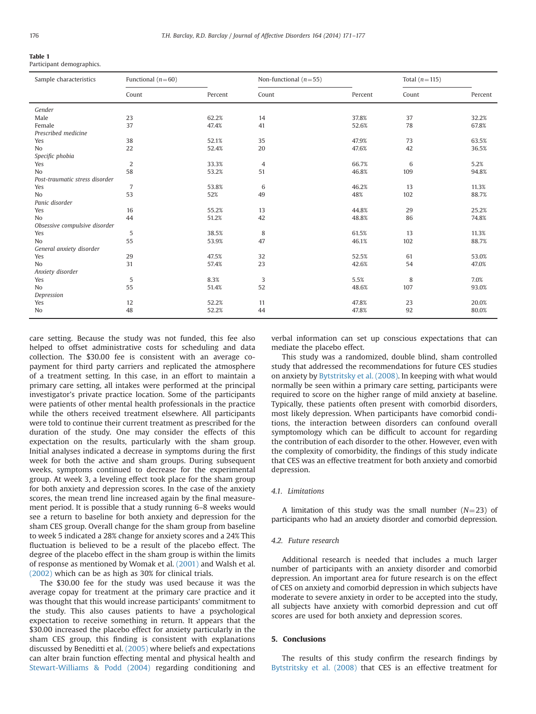<span id="page-5-0"></span>

| <b>Table 1</b>            |
|---------------------------|
| Participant demographics. |

| Sample characteristics         | Functional $(n=60)$ |         | Non-functional $(n=55)$ |         | Total $(n=115)$ |         |
|--------------------------------|---------------------|---------|-------------------------|---------|-----------------|---------|
|                                | Count               | Percent | Count                   | Percent | Count           | Percent |
| Gender                         |                     |         |                         |         |                 |         |
| Male                           | 23                  | 62.2%   | 14                      | 37.8%   | 37              | 32.2%   |
| Female                         | 37                  | 47.4%   | 41                      | 52.6%   | 78              | 67.8%   |
| Prescribed medicine            |                     |         |                         |         |                 |         |
| Yes                            | 38                  | 52.1%   | 35                      | 47.9%   | 73              | 63.5%   |
| N <sub>o</sub>                 | 22                  | 52.4%   | 20                      | 47.6%   | 42              | 36.5%   |
| Specific phobia                |                     |         |                         |         |                 |         |
| Yes                            | 2                   | 33.3%   | 4                       | 66.7%   | 6               | 5.2%    |
| N <sub>o</sub>                 | 58                  | 53.2%   | 51                      | 46.8%   | 109             | 94.8%   |
| Post-traumatic stress disorder |                     |         |                         |         |                 |         |
| Yes                            | $\overline{7}$      | 53.8%   | 6                       | 46.2%   | 13              | 11.3%   |
| N <sub>o</sub>                 | 53                  | 52%     | 49                      | 48%     | 102             | 88.7%   |
| Panic disorder                 |                     |         |                         |         |                 |         |
| Yes                            | 16                  | 55.2%   | 13                      | 44.8%   | 29              | 25.2%   |
| No                             | 44                  | 51.2%   | 42                      | 48.8%   | 86              | 74.8%   |
| Obsessive compulsive disorder  |                     |         |                         |         |                 |         |
| Yes                            | 5                   | 38.5%   | 8                       | 61.5%   | 13              | 11.3%   |
| N <sub>o</sub>                 | 55                  | 53.9%   | 47                      | 46.1%   | 102             | 88.7%   |
| General anxiety disorder       |                     |         |                         |         |                 |         |
| Yes                            | 29                  | 47.5%   | 32                      | 52.5%   | 61              | 53.0%   |
| N <sub>o</sub>                 | 31                  | 57.4%   | 23                      | 42.6%   | 54              | 47.0%   |
| Anxiety disorder               |                     |         |                         |         |                 |         |
| Yes                            | 5                   | 8.3%    | 3                       | 5.5%    | 8               | 7.0%    |
| N <sub>o</sub>                 | 55                  | 51.4%   | 52                      | 48.6%   | 107             | 93.0%   |
| Depression                     |                     |         |                         |         |                 |         |
| Yes                            | 12                  | 52.2%   | 11                      | 47.8%   | 23              | 20.0%   |
| No                             | 48                  | 52.2%   | 44                      | 47.8%   | 92              | 80.0%   |

care setting. Because the study was not funded, this fee also helped to offset administrative costs for scheduling and data collection. The \$30.00 fee is consistent with an average copayment for third party carriers and replicated the atmosphere of a treatment setting. In this case, in an effort to maintain a primary care setting, all intakes were performed at the principal investigator's private practice location. Some of the participants were patients of other mental health professionals in the practice while the others received treatment elsewhere. All participants were told to continue their current treatment as prescribed for the duration of the study. One may consider the effects of this expectation on the results, particularly with the sham group. Initial analyses indicated a decrease in symptoms during the first week for both the active and sham groups. During subsequent weeks, symptoms continued to decrease for the experimental group. At week 3, a leveling effect took place for the sham group for both anxiety and depression scores. In the case of the anxiety scores, the mean trend line increased again by the final measurement period. It is possible that a study running 6–8 weeks would see a return to baseline for both anxiety and depression for the sham CES group. Overall change for the sham group from baseline to week 5 indicated a 28% change for anxiety scores and a 24% This fluctuation is believed to be a result of the placebo effect. The degree of the placebo effect in the sham group is within the limits of response as mentioned by Womak et al. [\(2001\)](#page-6-0) and Walsh et al. [\(2002\)](#page-6-0) which can be as high as 30% for clinical trials.

The \$30.00 fee for the study was used because it was the average copay for treatment at the primary care practice and it was thought that this would increase participants' commitment to the study. This also causes patients to have a psychological expectation to receive something in return. It appears that the \$30.00 increased the placebo effect for anxiety particularly in the sham CES group, this finding is consistent with explanations discussed by Beneditti et al. [\(2005\)](#page-6-0) where beliefs and expectations can alter brain function effecting mental and physical health and [Stewart-Williams & Podd \(2004\)](#page-6-0) regarding conditioning and

verbal information can set up conscious expectations that can mediate the placebo effect.

This study was a randomized, double blind, sham controlled study that addressed the recommendations for future CES studies on anxiety by [Bytstritsky et al. \(2008\)](#page-6-0). In keeping with what would normally be seen within a primary care setting, participants were required to score on the higher range of mild anxiety at baseline. Typically, these patients often present with comorbid disorders, most likely depression. When participants have comorbid conditions, the interaction between disorders can confound overall symptomology which can be difficult to account for regarding the contribution of each disorder to the other. However, even with the complexity of comorbidity, the findings of this study indicate that CES was an effective treatment for both anxiety and comorbid depression.

#### 4.1. Limitations

A limitation of this study was the small number  $(N=23)$  of participants who had an anxiety disorder and comorbid depression.

# 4.2. Future research

Additional research is needed that includes a much larger number of participants with an anxiety disorder and comorbid depression. An important area for future research is on the effect of CES on anxiety and comorbid depression in which subjects have moderate to severe anxiety in order to be accepted into the study, all subjects have anxiety with comorbid depression and cut off scores are used for both anxiety and depression scores.

## 5. Conclusions

The results of this study confirm the research findings by [Bytstritsky et al. \(2008\)](#page-6-0) that CES is an effective treatment for